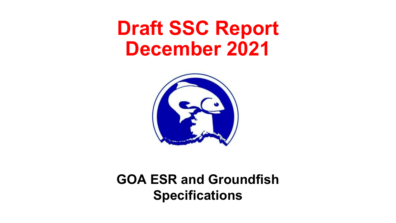# **Draft SSC Report December 2021**



**GOA ESR and Groundfish Specifications**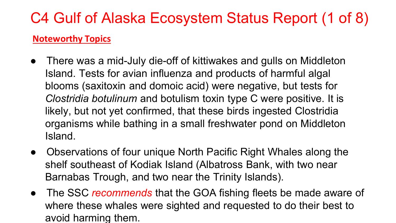# C4 Gulf of Alaska Ecosystem Status Report (1 of 8)

#### **Noteworthy Topics**

- There was a mid-July die-off of kittiwakes and gulls on Middleton Island. Tests for avian influenza and products of harmful algal blooms (saxitoxin and domoic acid) were negative, but tests for *Clostridia botulinum* and botulism toxin type C were positive. It is likely, but not yet confirmed, that these birds ingested Clostridia organisms while bathing in a small freshwater pond on Middleton Island.
- Observations of four unique North Pacific Right Whales along the shelf southeast of Kodiak Island (Albatross Bank, with two near Barnabas Trough, and two near the Trinity Islands).
- The SSC *recommends* that the GOA fishing fleets be made aware of where these whales were sighted and requested to do their best to avoid harming them.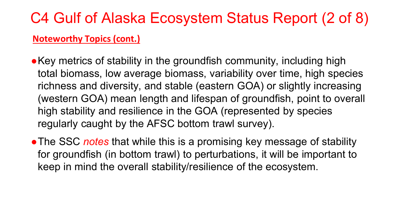# C4 Gulf of Alaska Ecosystem Status Report (2 of 8)

#### **Noteworthy Topics (cont.)**

- ●Key metrics of stability in the groundfish community, including high total biomass, low average biomass, variability over time, high species richness and diversity, and stable (eastern GOA) or slightly increasing (western GOA) mean length and lifespan of groundfish, point to overall high stability and resilience in the GOA (represented by species regularly caught by the AFSC bottom trawl survey).
- The SSC *notes* that while this is a promising key message of stability for groundfish (in bottom trawl) to perturbations, it will be important to keep in mind the overall stability/resilience of the ecosystem.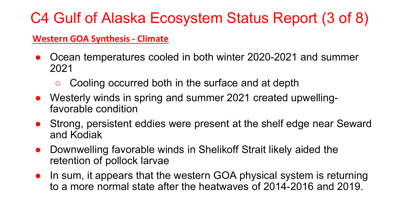# C4 Gulf of Alaska Ecosystem Status Report (3 of 8)

#### **Western GOA Synthesis - Climate**

- Ocean temperatures cooled in both winter 2020-2021 and summer 2021
	- Cooling occurred both in the surface and at depth
- Westerly winds in spring and summer 2021 created upwellingfavorable condition
- Strong, persistent eddies were present at the shelf edge near Seward and Kodiak
- Downwelling favorable winds in Shelikoff Strait likely aided the retention of pollock larvae
- In sum, it appears that the western GOA physical system is returning to a more normal state after the heatwaves of 2014-2016 and 2019.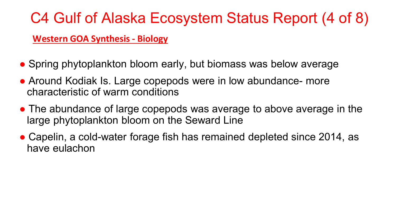## C4 Gulf of Alaska Ecosystem Status Report (4 of 8)

#### **Western GOA Synthesis - Biology**

- Spring phytoplankton bloom early, but biomass was below average
- Around Kodiak Is. Large copepods were in low abundance- more characteristic of warm conditions
- The abundance of large copepods was average to above average in the large phytoplankton bloom on the Seward Line
- Capelin, a cold-water forage fish has remained depleted since 2014, as have eulachon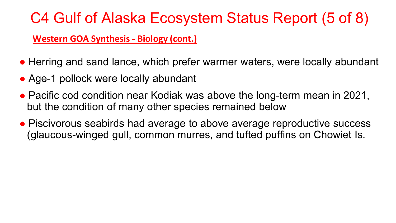### C4 Gulf of Alaska Ecosystem Status Report (5 of 8)

#### **Western GOA Synthesis - Biology (cont.)**

- Herring and sand lance, which prefer warmer waters, were locally abundant
- Age-1 pollock were locally abundant
- Pacific cod condition near Kodiak was above the long-term mean in 2021, but the condition of many other species remained below
- Piscivorous seabirds had average to above average reproductive success (glaucous-winged gull, common murres, and tufted puffins on Chowiet Is.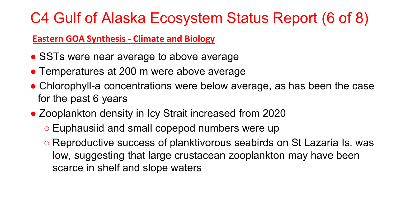### C4 Gulf of Alaska Ecosystem Status Report (6 of 8)

#### **Eastern GOA Synthesis - Climate and Biology**

- SSTs were near average to above average
- Temperatures at 200 m were above average
- Chlorophyll-a concentrations were below average, as has been the case for the past 6 years
- Zooplankton density in Icy Strait increased from 2020
	- Euphausiid and small copepod numbers were up
	- Reproductive success of planktivorous seabirds on St Lazaria Is. was low, suggesting that large crustacean zooplankton may have been scarce in shelf and slope waters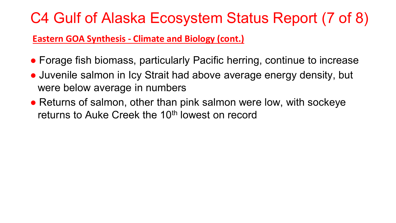### C4 Gulf of Alaska Ecosystem Status Report (7 of 8)

#### **Eastern GOA Synthesis - Climate and Biology (cont.)**

- Forage fish biomass, particularly Pacific herring, continue to increase
- Juvenile salmon in Icy Strait had above average energy density, but were below average in numbers
- Returns of salmon, other than pink salmon were low, with sockeye returns to Auke Creek the 10<sup>th</sup> lowest on record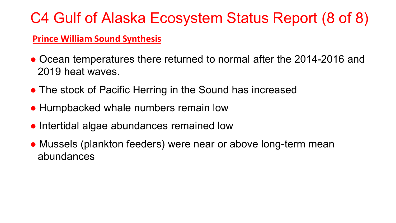## C4 Gulf of Alaska Ecosystem Status Report (8 of 8)

#### **Prince William Sound Synthesis**

- Ocean temperatures there returned to normal after the 2014-2016 and 2019 heat waves.
- The stock of Pacific Herring in the Sound has increased
- Humpbacked whale numbers remain low
- Intertidal algae abundances remained low
- Mussels (plankton feeders) were near or above long-term mean abundances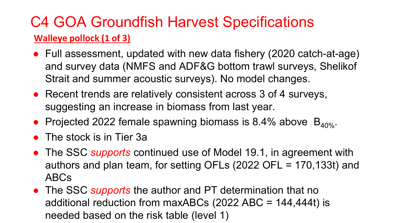### C4 GOA Groundfish Harvest Specifications **Walleye pollock (1 of 3)**

- Full assessment, updated with new data fishery (2020 catch-at-age) and survey data (NMFS and ADF&G bottom trawl surveys, Shelikof Strait and summer acoustic surveys). No model changes.
- Recent trends are relatively consistent across 3 of 4 surveys, suggesting an increase in biomass from last year.
- Projected 2022 female spawning biomass is 8.4% above  $B_{40\%}$ .
- The stock is in Tier 3a
- The SSC *supports* continued use of Model 19.1, in agreement with authors and plan team, for setting OFLs (2022 OFL = 170,133t) and ABCs
- The SSC *supports* the author and PT determination that no additional reduction from maxABCs (2022 ABC = 144,444t) is needed based on the risk table (level 1)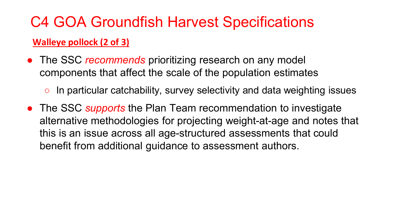### **Walleye pollock (2 of 3)**

- The SSC *recommends* prioritizing research on any model components that affect the scale of the population estimates
	- $\circ$  In particular catchability, survey selectivity and data weighting issues
- The SSC *supports* the Plan Team recommendation to investigate alternative methodologies for projecting weight-at-age and notes that this is an issue across all age-structured assessments that could benefit from additional guidance to assessment authors.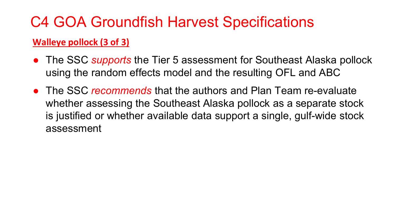### **Walleye pollock (3 of 3)**

- The SSC *supports* the Tier 5 assessment for Southeast Alaska pollock using the random effects model and the resulting OFL and ABC
- The SSC *recommends* that the authors and Plan Team re-evaluate whether assessing the Southeast Alaska pollock as a separate stock is justified or whether available data support a single, gulf-wide stock assessment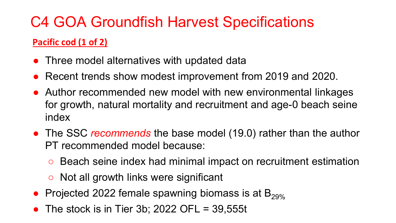### **Pacific cod (1 of 2)**

- Three model alternatives with updated data
- Recent trends show modest improvement from 2019 and 2020.
- Author recommended new model with new environmental linkages for growth, natural mortality and recruitment and age-0 beach seine index
- The SSC *recommends* the base model (19.0) rather than the author PT recommended model because:
	- Beach seine index had minimal impact on recruitment estimation
	- Not all growth links were significant
- Projected 2022 female spawning biomass is at  $B_{29\%}$
- The stock is in Tier 3b; 2022 OFL =  $39,555t$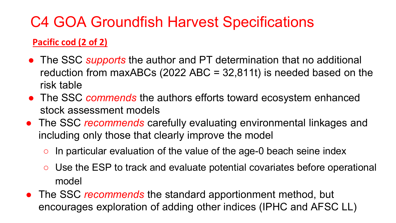### **Pacific cod (2 of 2)**

- The SSC *supports* the author and PT determination that no additional reduction from maxABCs (2022 ABC =  $32,811t$ ) is needed based on the risk table
- The SSC *commends* the authors efforts toward ecosystem enhanced stock assessment models
- The SSC *recommends* carefully evaluating environmental linkages and including only those that clearly improve the model
	- $\circ$  In particular evaluation of the value of the age-0 beach seine index
	- Use the ESP to track and evaluate potential covariates before operational model
- The SSC *recommends* the standard apportionment method, but encourages exploration of adding other indices (IPHC and AFSC LL)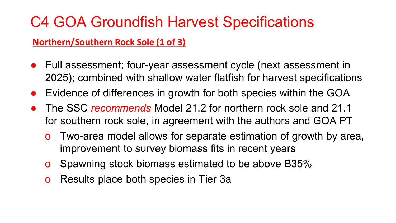#### **Northern/Southern Rock Sole (1 of 3)**

- Full assessment; four-year assessment cycle (next assessment in 2025); combined with shallow water flatfish for harvest specifications
- Evidence of differences in growth for both species within the GOA
- The SSC *recommends* Model 21.2 for northern rock sole and 21.1 for southern rock sole, in agreement with the authors and GOA PT
	- o Two-area model allows for separate estimation of growth by area, improvement to survey biomass fits in recent years
	- o Spawning stock biomass estimated to be above B35%
	- o Results place both species in Tier 3a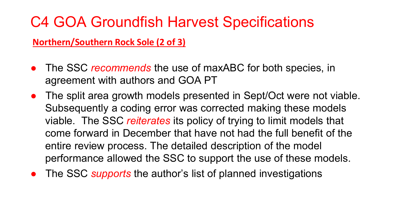**Northern/Southern Rock Sole (2 of 3)**

- The SSC *recommends* the use of maxABC for both species, in agreement with authors and GOA PT
- The split area growth models presented in Sept/Oct were not viable. Subsequently a coding error was corrected making these models viable. The SSC *reiterates* its policy of trying to limit models that come forward in December that have not had the full benefit of the entire review process. The detailed description of the model performance allowed the SSC to support the use of these models.
- The SSC *supports* the author's list of planned investigations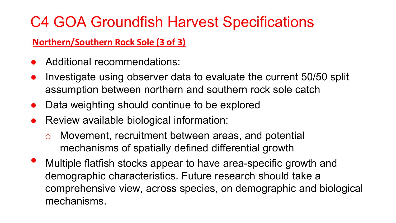### **Northern/Southern Rock Sole (3 of 3)**

- Additional recommendations:
- Investigate using observer data to evaluate the current 50/50 split assumption between northern and southern rock sole catch
- Data weighting should continue to be explored
- Review available biological information:
	- Movement, recruitment between areas, and potential mechanisms of spatially defined differential growth
- Multiple flatfish stocks appear to have area-specific growth and demographic characteristics. Future research should take a comprehensive view, across species, on demographic and biological mechanisms.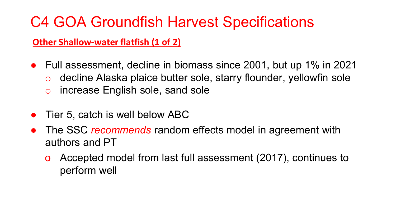**Other Shallow-water flatfish (1 of 2)**

- Full assessment, decline in biomass since 2001, but up 1% in 2021
	- o decline Alaska plaice butter sole, starry flounder, yellowfin sole
	- o increase English sole, sand sole
- Tier 5, catch is well below ABC
- The SSC *recommends* random effects model in agreement with authors and PT
	- o Accepted model from last full assessment (2017), continues to perform well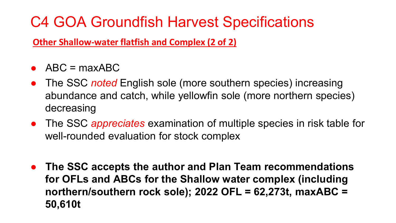**Other Shallow-water flatfish and Complex (2 of 2)**

- $\bullet$  ABC = maxABC
- The SSC *noted* English sole (more southern species) increasing abundance and catch, while yellowfin sole (more northern species) decreasing
- The SSC *appreciates* examination of multiple species in risk table for well-rounded evaluation for stock complex
- **The SSC accepts the author and Plan Team recommendations for OFLs and ABCs for the Shallow water complex (including northern/southern rock sole); 2022 OFL = 62,273t, maxABC = 50,610t**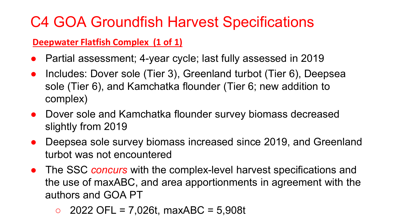#### **Deepwater Flatfish Complex (1 of 1)**

- Partial assessment; 4-year cycle; last fully assessed in 2019
- Includes: Dover sole (Tier 3), Greenland turbot (Tier 6), Deepsea sole (Tier 6), and Kamchatka flounder (Tier 6; new addition to complex)
- Dover sole and Kamchatka flounder survey biomass decreased slightly from 2019
- Deepsea sole survey biomass increased since 2019, and Greenland turbot was not encountered
- The SSC *concurs* with the complex-level harvest specifications and the use of maxABC, and area apportionments in agreement with the authors and GOA PT
	- $\circ$  2022 OFL = 7,026t, maxABC = 5,908t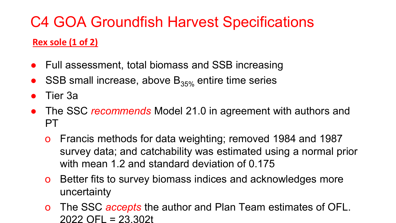# C4 GOA Groundfish Harvest Specifications **Rex sole (1 of 2)**

- Full assessment, total biomass and SSB increasing
- SSB small increase, above  $B_{35\%}$  entire time series
- Tier 3a
- The SSC *recommends* Model 21.0 in agreement with authors and PT
	- o Francis methods for data weighting; removed 1984 and 1987 survey data; and catchability was estimated using a normal prior with mean 1.2 and standard deviation of 0.175
	- o Better fits to survey biomass indices and acknowledges more uncertainty
	- o The SSC *accepts* the author and Plan Team estimates of OFL. 2022 OFL = 23,302t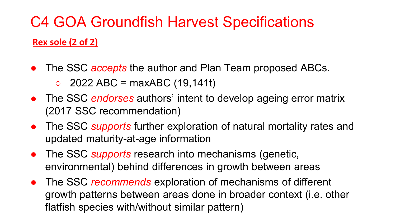# C4 GOA Groundfish Harvest Specifications **Rex sole (2 of 2)**

- The SSC *accepts* the author and Plan Team proposed ABCs.
	- $\circ$  2022 ABC = maxABC (19,141t)
- The SSC *endorses* authors' intent to develop ageing error matrix (2017 SSC recommendation)
- The SSC *supports* further exploration of natural mortality rates and updated maturity-at-age information
- The SSC *supports* research into mechanisms (genetic, environmental) behind differences in growth between areas
- The SSC *recommends* exploration of mechanisms of different growth patterns between areas done in broader context (i.e. other flatfish species with/without similar pattern)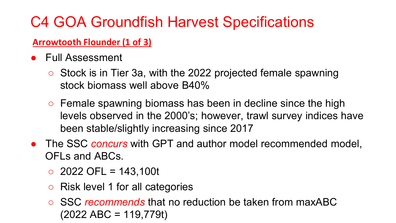### **Arrowtooth Flounder (1 of 3)**

- Full Assessment
	- Stock is in Tier 3a, with the 2022 projected female spawning stock biomass well above B40%
	- $\circ$  Female spawning biomass has been in decline since the high levels observed in the 2000's; however, trawl survey indices have been stable/slightly increasing since 2017
- The SSC *concurs* with GPT and author model recommended model, OFLs and ABCs.
	- $\circ$  2022 OFL = 143,100t
	- Risk level 1 for all categories
	- SSC *recommends* that no reduction be taken from maxABC (2022 ABC = 119,779t)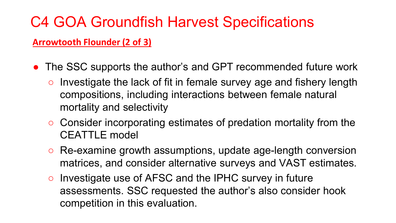#### **Arrowtooth Flounder (2 of 3)**

- The SSC supports the author's and GPT recommended future work
	- $\circ$  Investigate the lack of fit in female survey age and fishery length compositions, including interactions between female natural mortality and selectivity
	- Consider incorporating estimates of predation mortality from the CEATTLE model
	- Re-examine growth assumptions, update age-length conversion matrices, and consider alternative surveys and VAST estimates.
	- Investigate use of AFSC and the IPHC survey in future assessments. SSC requested the author's also consider hook competition in this evaluation.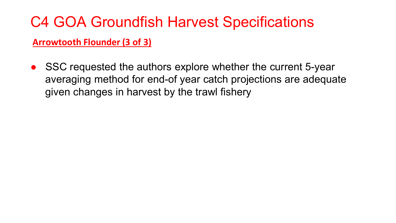#### **Arrowtooth Flounder (3 of 3)**

SSC requested the authors explore whether the current 5-year averaging method for end-of year catch projections are adequate given changes in harvest by the trawl fishery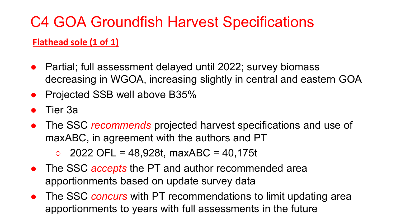### **Flathead sole (1 of 1)**

- Partial; full assessment delayed until 2022; survey biomass decreasing in WGOA, increasing slightly in central and eastern GOA
- **Projected SSB well above B35%**
- Tier 3a
- The SSC *recommends* projected harvest specifications and use of maxABC, in agreement with the authors and PT
	- $\circ$  2022 OFL = 48,928t, maxABC = 40,175t
- The SSC *accepts* the PT and author recommended area apportionments based on update survey data
- The SSC *concurs* with PT recommendations to limit updating area apportionments to years with full assessments in the future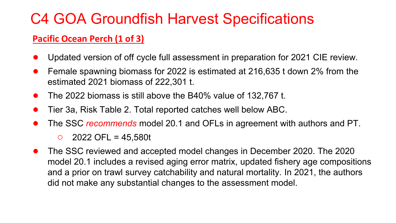#### **Pacific Ocean Perch (1 of 3)**

- Updated version of off cycle full assessment in preparation for 2021 CIE review.
- Female spawning biomass for 2022 is estimated at 216,635 t down 2% from the estimated 2021 biomass of 222,301 t.
- The 2022 biomass is still above the B40% value of 132,767 t.
- Tier 3a, Risk Table 2. Total reported catches well below ABC.
- The SSC *recommends* model 20.1 and OFLs in agreement with authors and PT.
	- $\circ$  2022 OFL = 45,580t
- The SSC reviewed and accepted model changes in December 2020. The 2020 model 20.1 includes a revised aging error matrix, updated fishery age compositions and a prior on trawl survey catchability and natural mortality. In 2021, the authors did not make any substantial changes to the assessment model.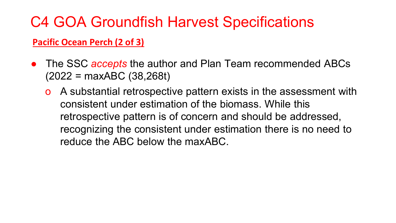#### **Pacific Ocean Perch (2 of 3)**

- The SSC *accepts* the author and Plan Team recommended ABCs (2022 = maxABC (38,268t)
	- A substantial retrospective pattern exists in the assessment with consistent under estimation of the biomass. While this retrospective pattern is of concern and should be addressed, recognizing the consistent under estimation there is no need to reduce the ABC below the maxABC.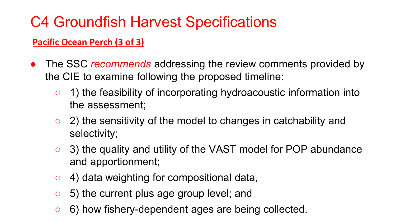### **Pacific Ocean Perch (3 of 3)**

- The SSC *recommends* addressing the review comments provided by the CIE to examine following the proposed timeline:
	- 1) the feasibility of incorporating hydroacoustic information into the assessment;
	- 2) the sensitivity of the model to changes in catchability and selectivity;
	- 3) the quality and utility of the VAST model for POP abundance and apportionment;
	- $\circ$  4) data weighting for compositional data,
	- 5) the current plus age group level; and
	- 6) how fishery-dependent ages are being collected.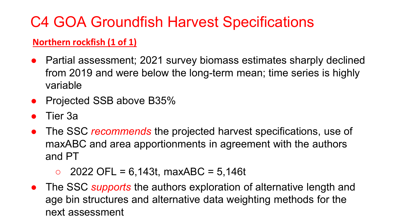### **Northern rockfish (1 of 1)**

- Partial assessment; 2021 survey biomass estimates sharply declined from 2019 and were below the long-term mean; time series is highly variable
- Projected SSB above B35%
- Tier 3a
- The SSC *recommends* the projected harvest specifications, use of maxABC and area apportionments in agreement with the authors and PT

 $\circ$  2022 OFL = 6,143t, maxABC = 5,146t

● The SSC *supports* the authors exploration of alternative length and age bin structures and alternative data weighting methods for the next assessment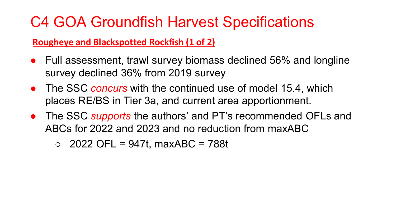**Rougheye and Blackspotted Rockfish (1 of 2)**

- Full assessment, trawl survey biomass declined 56% and longline survey declined 36% from 2019 survey
- The SSC *concurs* with the continued use of model 15.4, which places RE/BS in Tier 3a, and current area apportionment.
- The SSC *supports* the authors' and PT's recommended OFLs and ABCs for 2022 and 2023 and no reduction from maxABC
	- $\circ$  2022 OFL = 947t, maxABC = 788t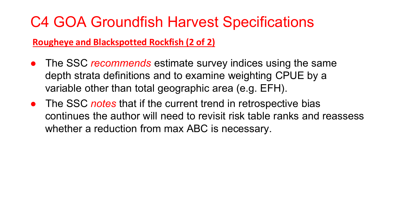#### **Rougheye and Blackspotted Rockfish (2 of 2)**

- The SSC *recommends* estimate survey indices using the same depth strata definitions and to examine weighting CPUE by a variable other than total geographic area (e.g. EFH).
- The SSC *notes* that if the current trend in retrospective bias continues the author will need to revisit risk table ranks and reassess whether a reduction from max ABC is necessary.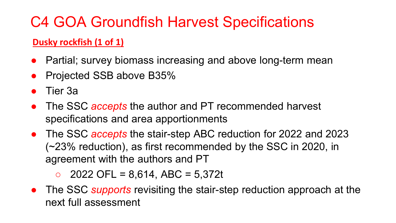### **Dusky rockfish (1 of 1)**

- Partial; survey biomass increasing and above long-term mean
- Projected SSB above B35%
- Tier 3a
- The SSC *accepts* the author and PT recommended harvest specifications and area apportionments
- The SSC *accepts* the stair-step ABC reduction for 2022 and 2023 (~23% reduction), as first recommended by the SSC in 2020, in agreement with the authors and PT

 $\circ$  2022 OFL = 8,614, ABC = 5,372t

● The SSC *supports* revisiting the stair-step reduction approach at the next full assessment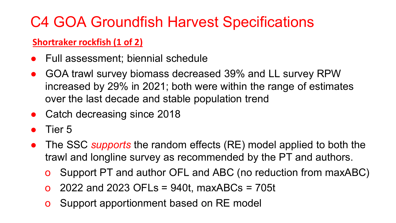### **Shortraker rockfish (1 of 2)**

- **Full assessment; biennial schedule**
- GOA trawl survey biomass decreased 39% and LL survey RPW increased by 29% in 2021; both were within the range of estimates over the last decade and stable population trend
- Catch decreasing since 2018
- Tier 5
- The SSC *supports* the random effects (RE) model applied to both the trawl and longline survey as recommended by the PT and authors.
	- o Support PT and author OFL and ABC (no reduction from maxABC)
	- $\alpha$  2022 and 2023 OFLs = 940t, maxABCs = 705t
	- **o** Support apportionment based on RE model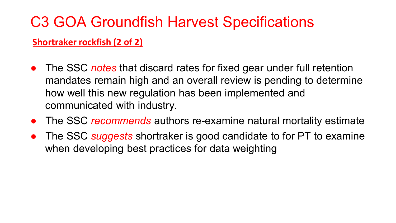#### **Shortraker rockfish (2 of 2)**

- The SSC *notes* that discard rates for fixed gear under full retention mandates remain high and an overall review is pending to determine how well this new regulation has been implemented and communicated with industry.
- The SSC *recommends* authors re-examine natural mortality estimate
- The SSC *suggests* shortraker is good candidate to for PT to examine when developing best practices for data weighting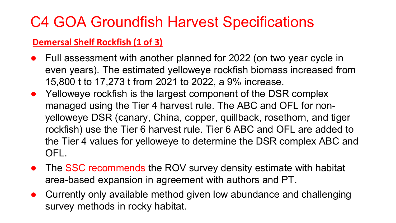#### **Demersal Shelf Rockfish (1 of 3)**

- Full assessment with another planned for 2022 (on two year cycle in even years). The estimated yelloweye rockfish biomass increased from 15,800 t to 17,273 t from 2021 to 2022, a 9% increase.
- Yelloweye rockfish is the largest component of the DSR complex managed using the Tier 4 harvest rule. The ABC and OFL for nonyelloweye DSR (canary, China, copper, quillback, rosethorn, and tiger rockfish) use the Tier 6 harvest rule. Tier 6 ABC and OFL are added to the Tier 4 values for yelloweye to determine the DSR complex ABC and OFL.
- The SSC recommends the ROV survey density estimate with habitat area-based expansion in agreement with authors and PT.
- Currently only available method given low abundance and challenging survey methods in rocky habitat.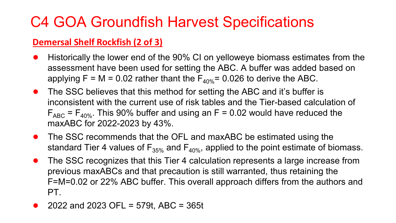#### **Demersal Shelf Rockfish (2 of 3)**

- Historically the lower end of the 90% CI on yelloweye biomass estimates from the assessment have been used for setting the ABC. A buffer was added based on applying  $F = M = 0.02$  rather thant the  $F_{40\%} = 0.026$  to derive the ABC.
- The SSC believes that this method for setting the ABC and it's buffer is inconsistent with the current use of risk tables and the Tier-based calculation of  $F_{ABC}$  =  $F_{A0\%}$ . This 90% buffer and using an F = 0.02 would have reduced the maxABC for 2022-2023 by 43%.
- The SSC recommends that the OFL and maxABC be estimated using the standard Tier 4 values of  $F_{35\%}$  and  $F_{40\%}$ , applied to the point estimate of biomass.
- The SSC recognizes that this Tier 4 calculation represents a large increase from previous maxABCs and that precaution is still warranted, thus retaining the F=M=0.02 or 22% ABC buffer. This overall approach differs from the authors and PT.
- 2022 and 2023 OFL = 579t, ABC = 365t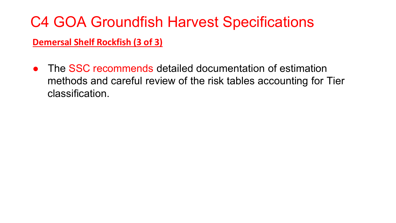#### **Demersal Shelf Rockfish (3 of 3)**

• The SSC recommends detailed documentation of estimation methods and careful review of the risk tables accounting for Tier classification.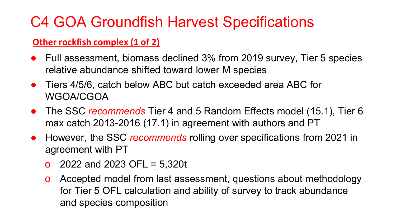#### **Other rockfish complex (1 of 2)**

- Full assessment, biomass declined 3% from 2019 survey, Tier 5 species relative abundance shifted toward lower M species
- Tiers 4/5/6, catch below ABC but catch exceeded area ABC for WGOA/CGOA
- The SSC *recommends* Tier 4 and 5 Random Effects model (15.1), Tier 6 max catch 2013-2016 (17.1) in agreement with authors and PT
- However, the SSC *recommends* rolling over specifications from 2021 in agreement with PT
	- $\alpha$  2022 and 2023 OFL = 5,320t
	- o Accepted model from last assessment, questions about methodology for Tier 5 OFL calculation and ability of survey to track abundance and species composition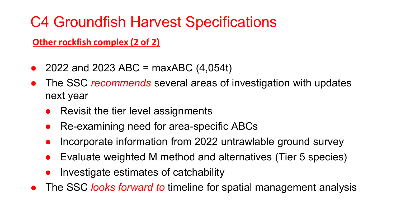**Other rockfish complex (2 of 2)**

- 2022 and 2023 ABC = maxABC  $(4,054t)$
- The SSC *recommends* several areas of investigation with updates next year
	- Revisit the tier level assignments
	- Re-examining need for area-specific ABCs
	- Incorporate information from 2022 untrawlable ground survey
	- Evaluate weighted M method and alternatives (Tier 5 species)
	- Investigate estimates of catchability
- The SSC *looks forward to* timeline for spatial management analysis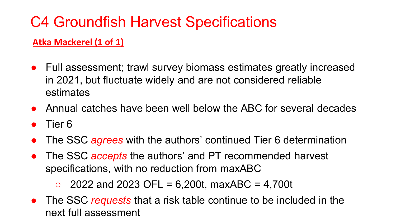### **Atka Mackerel (1 of 1)**

- Full assessment; trawl survey biomass estimates greatly increased in 2021, but fluctuate widely and are not considered reliable estimates
- Annual catches have been well below the ABC for several decades
- Tier 6
- The SSC *agrees* with the authors' continued Tier 6 determination
- The SSC *accepts* the authors' and PT recommended harvest specifications, with no reduction from maxABC

 $\circ$  2022 and 2023 OFL = 6,200t, maxABC = 4,700t

● The SSC *requests* that a risk table continue to be included in the next full assessment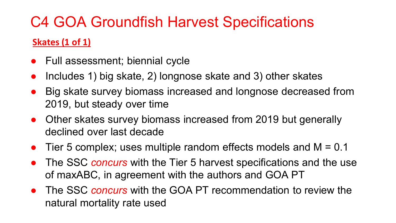### **Skates (1 of 1)**

- Full assessment; biennial cycle
- Includes 1) big skate, 2) longnose skate and 3) other skates
- Big skate survey biomass increased and longnose decreased from 2019, but steady over time
- Other skates survey biomass increased from 2019 but generally declined over last decade
- Tier 5 complex; uses multiple random effects models and  $M = 0.1$
- The SSC *concurs* with the Tier 5 harvest specifications and the use of maxABC, in agreement with the authors and GOA PT
- The SSC *concurs* with the GOA PT recommendation to review the natural mortality rate used